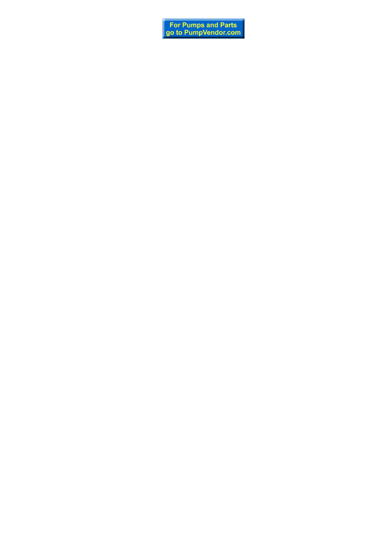For Pumps and Parts<br>go to PumpVendor.com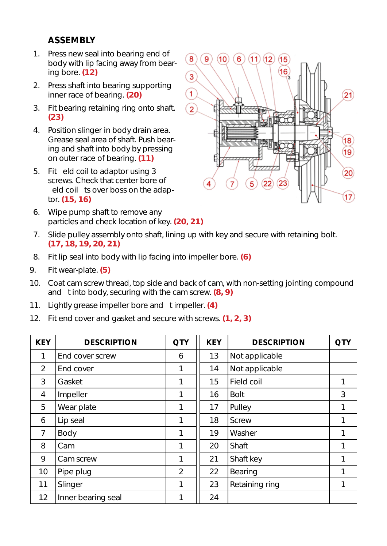# **ASSEMBLY**

- 1. Press new seal into bearing end of body with lip facing away from bearing bore. **(12)**
- 2. Press shaft into bearing supporting inner race of bearing. **(20)**
- 3. Fit bearing retaining ring onto shaft. **(23)**
- 4. Position slinger in body drain area. Grease seal area of shaft. Push bearing and shaft into body by pressing on outer race of bearing. **(11)**
- 5. Fit eld coil to adaptor using 3 screws. Check that center bore of eld coil ts over boss on the adaptor. **(15, 16)**
- 6. Wipe pump shaft to remove any particles and check location of key. **(20, 21)**
- 7. Slide pulley assembly onto shaft, lining up with key and secure with retaining bolt. **(17, 18, 19, 20, 21)**
- 8. Fit lip seal into body with lip facing into impeller bore. **(6)**
- 9. Fit wear-plate. **(5)**
- 10. Coat cam screw thread, top side and back of cam, with non-setting jointing compound and t into body, securing with the cam screw. **(8, 9)**
- 11. Lightly grease impeller bore and t impeller. **(4)**
- 12. Fit end cover and gasket and secure with screws. **(1, 2, 3)**

| <b>KEY</b>     | <b>DESCRIPTION</b> | <b>QTY</b>     | <b>KEY</b> | <b>DESCRIPTION</b> | <b>QTY</b> |
|----------------|--------------------|----------------|------------|--------------------|------------|
|                | End cover screw    | 6              | 13         | Not applicable     |            |
| 2              | End cover          | 1              | 14         | Not applicable     |            |
| 3              | Gasket             | 1              | 15         | Field coil         |            |
| $\overline{4}$ | Impeller           | 1              | 16         | <b>Bolt</b>        | 3          |
| 5              | Wear plate         | 1              | 17         | Pulley             | 1          |
| 6              | Lip seal           | 1              | 18         | Screw              |            |
| $\overline{7}$ | Body               | 1              | 19         | Washer             | 1          |
| 8              | Cam                | 1              | 20         | Shaft              | 1          |
| 9              | Cam screw          | 1              | 21         | Shaft key          |            |
| 10             | Pipe plug          | $\overline{2}$ | 22         | Bearing            | 1          |
| 11             | Slinger            | 1              | 23         | Retaining ring     | 1          |
| 12             | Inner bearing seal |                | 24         |                    |            |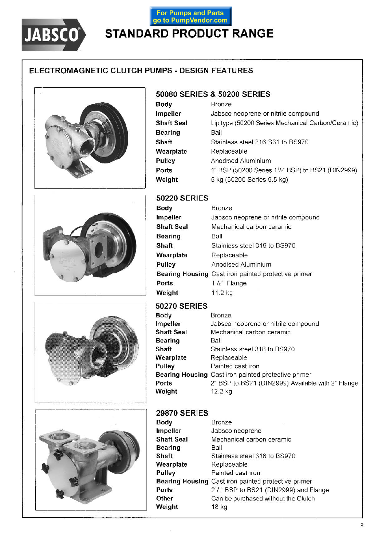

# For Pumps and Parts<br>go to PumpVendor.com **STANDARD PRODUCT RANGE**

## ELECTROMAGNETIC CLUTCH PUMPS - DESIGN FEATURES



## 50080 SERIES & 50200 SERIES

| Body              | Bronze                                            |
|-------------------|---------------------------------------------------|
| Impeller          | Jabsco neoprene or nitrile compound               |
| <b>Shaft Seal</b> | Lip type (50200 Series Mechanical Carbon/Ceramic) |
| <b>Bearing</b>    | Ball                                              |
| Shaft             | Stainless steel 316 S31 to BS970                  |
| Wearplate         | Replaceable                                       |
| Pulley            | Anodised Aluminium                                |
| Ports             | 1" BSP (50200 Series 11/2" BSP) to BS21 (DIN2999) |
| Weight            | 5 kg (50200 Series 9.5 kg)                        |







### **50220 SERIES**

| Body              | Bronze                                              |
|-------------------|-----------------------------------------------------|
| Impeller          | Jabsco neoprene or nitrile compound                 |
| <b>Shaft Seal</b> | Mechanical carbon ceramic                           |
| <b>Bearing</b>    | Ball                                                |
| Shaft             | Stainless steel 316 to BS970                        |
| Wearplate         | Replaceable                                         |
| Pulley            | Anodised Aluminium                                  |
|                   | Bearing Housing Cast iron painted protective primer |
| Ports             | $1^{1}/2$ " Flange                                  |
| Weight            | 11.2 kg                                             |

## **50270 SERIES**

| Body       | <b>Bronze</b>                                       |
|------------|-----------------------------------------------------|
| Impeller   | Jabsco neoprene or nitrile compound                 |
| Shaft Seal | Mechanical carbon ceramic                           |
| Bearing    | Ball                                                |
| Shaft      | Stainless steel 316 to BS970                        |
| Wearplate  | Replaceable                                         |
| Pulley     | Painted cast iron                                   |
|            | Bearing Housing Cast iron painted protective primer |
| Ports      | 2" BSP to BS21 (DIN2999) Available with 2" Flange   |
| Weight     | 12.2 kg                                             |
|            |                                                     |

### **29870 SERIES**

 $\epsilon$ 

| Body              | Bronze                                              |
|-------------------|-----------------------------------------------------|
| Impeller          | Jabsco neoprene                                     |
| <b>Shaft Seal</b> | Mechanical carbon ceramic                           |
| <b>Bearing</b>    | Ball                                                |
| Shaft             | Stainless steel 316 to BS970                        |
| Wearplate         | Replaceable                                         |
| Pulley            | Painted cast iron                                   |
|                   | Bearing Housing Cast iron painted protective primer |
| Ports             | 2'/z" BSP to BS21 (DIN2999) and Flange              |
| Other             | Can be purchased without the Clutch                 |
| Weight            | 18 kg                                               |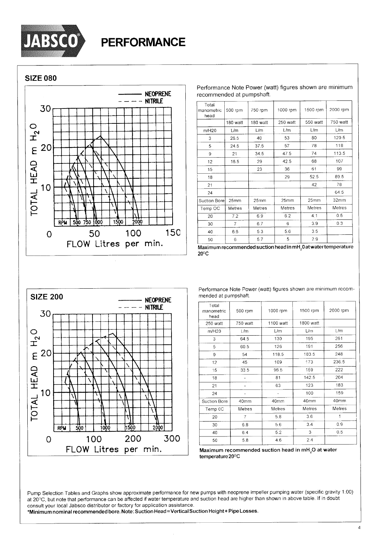

**SIZE 080** 



| Total<br>manometric<br>head | 500 rpm        | 750 rpm       | 1000 rpm | 1500 rpm | 2000 rpm |
|-----------------------------|----------------|---------------|----------|----------|----------|
|                             | 180 watt       | 180 watt      | 250 watt | 550 watt | 750 watt |
| m/H20                       | L/m            | L/m           | L/m      | L/m      | L/m      |
| 3                           | 26.5           | 40            | 53       | 80       | 120.5    |
| 5                           | 24.5           | 37.5          | 57       | 78       | 118      |
| 9                           | 21             | 34.5          | 47.5     | 74       | 113.5    |
| 12                          | 16.5           | 29            | 42.5     | 68       | 107      |
| 15                          |                | 23            | 36       | 61       | 99       |
| 18                          |                |               | 29       | 52.5     | 89.5     |
| 21                          |                |               |          | 42       | 78       |
| 24                          |                |               |          |          | 64.5     |
| Suction Bore                | 25mm           | 25mm          | 25mm     | 25mm     | 32mm     |
| Temp OC                     | Metres         | <b>Metres</b> | Metres   | Metres   | Metres   |
| 20                          | 7.2            | 6.9           | 6.2      | 4.1      | 0.5      |
| 30                          | $\overline{7}$ | 6.7           | 6        | 3.9      | 0.3      |
| 40                          | 6.6            | 5.3           | 5.6      | 3.5      |          |
| 50                          | 6              | 5.7           | 5        | 2.9      |          |

Performance Note Power (watt) figures shown are minimum

recommended at pumpshaft.

Maximum recommended suction head in mH<sub>2</sub>0 at water temperature  $20^{\circ}$ C



Performance Note Power (watt) figures shown are minimum recommended at pumpshaft.

| Total<br>manometric<br>head | 500 rpm    | 1000 rpm  | 1500 rpm  | 2000 rpm |
|-----------------------------|------------|-----------|-----------|----------|
| 250 watt                    | 750 watt   | 1100 watt | 1800 watt |          |
| m/H20                       | L/m        | L/m       | L/m       | L/m      |
| 3                           | 64.5       | 130       | 195       | 261      |
| 5                           | 60.5       | 126       | 191       | 256      |
| 9                           | 54         | 118.5     | 183.5     | 248      |
| 12                          | 45         | 109       | 173       | 236.5    |
| 15                          | 33.5       | 96.5      | 159       | 222      |
| 18                          |            | 81        | 142.5     | 204      |
| 21                          |            | 63        | 123       | 183      |
| 24                          |            |           | 100       | 159      |
| Suction Bore                | 40mm       | 40mm      | 40mm      | 40mm     |
| Temp 0C                     | Metres     | Metres    | Metres    | Metres   |
| 20                          | 7          | 5.8       | 3.6       |          |
| 30                          | 6.8<br>5.6 |           | 3.4       | 0.9      |
| 40                          | 6.4<br>5.2 |           | 3         | 0.5      |
| 50                          | 5.8        | 4.6       | 2.4       |          |

Maximum recommended suction head in mH<sub>2</sub>O at water temperature 20°C

Pump Selection Tables and Graphs show approximate performance for new pumps with neoprene impeller pumping water (specific gravity 1.00) at 20°C, but note that performance can be affected if water temperature and suction head are higher than shown in above table. If in doubt consult your local Jabsco distributor or factory for application assistance.

\*Minimum nominal recommended bore. Note: Suction Head = Vertical Suction Height + Pipe Losses.

 $\overline{4}$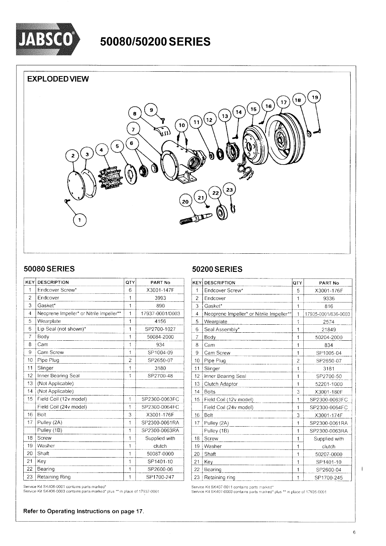

# 50080/50200 SERIES

## **EXPLODED VIEW**



### **50080 SERIES**

| KEY            | <b>DESCRIPTION</b>                       | QTY            | PART No         |
|----------------|------------------------------------------|----------------|-----------------|
| 1              | Endcover Screw*                          | 6              | X3001-147F      |
| $\overline{2}$ | Endcover                                 | 1              | 3993            |
| 3              | Gasket*                                  | 1              | 890             |
| 4              | Neoprene Impeller* or Nitrile Impeller** | 1              | 17937-0001/0003 |
| 5              | Wearplate                                | 1              | 4156            |
| 6              | Lip Seal (not shown)*                    | 1              | SP2700-1027     |
| $\overline{7}$ | Body                                     | 1              | 50084-2000      |
| 8              | Cam                                      | $\overline{1}$ | 934             |
| 9              | Cam Screw                                | 1              | SP1004-09       |
| 10             | Pipe Plug                                | $\overline{2}$ | SP2650-07       |
| 11             | Slinger                                  | 1              | 3180            |
| 12             | Inner Bearing Seal                       | 1              | SP2700-48       |
| 13             | (Not Applicable)                         |                |                 |
| 14             | (Not Applicable)                         |                |                 |
| 15             | Field Coil (12v model)                   | 1              | SP2300-0063FC   |
|                | Field Coil (24v model)                   | 1              | SP2300-0064FC   |
| 16             | Bolt                                     | 3              | X3001-176F      |
| 17             | Pulley (2A)                              | 1              | SP2300-0061RA   |
|                | Pulley (1B)                              | 1              | SP2300-0063RA   |
| 18             | Screw                                    | 1              | Supplied with   |
| 19             | Washer                                   | 1              | clutch          |
| 20             | Shaft                                    | 1              | 50087-0000      |
| 21             | Key                                      | 1              | SP1401-10       |
| 22             | Bearing                                  | 1              | SP2600-06       |
| 23             | Retaining Ring                           | 1              | SP1700-247      |

**50200 SERIES** 

| <b>KEY</b>     | <b>DESCRIPTION</b>                       | QTY            | PART No             |
|----------------|------------------------------------------|----------------|---------------------|
| 1              | Endcover Screw*                          | 5              | X3001-176F          |
| $\overline{a}$ | Endcover                                 | 1              | 9336                |
| 3              | Gasket*                                  | 1              | 816                 |
| $\overline{4}$ | Neoprene Impeller* or Nitrile Impeller** | $\mathbf{1}$   | 17935-0001/836-0003 |
| 5              | Wearplate                                | 1              | 2574                |
| 6              | Seal Assembly*                           | 1              | 21849               |
| 7              | Body                                     | $\overline{1}$ | 50204-2000          |
| 8              | Cam                                      | 1              | 834                 |
| 9              | Cam Screw                                | 1              | SP1005-04           |
| 10             | Pipe Plug                                | $\overline{2}$ | SP2650-07           |
| 11             | Slinger                                  | 1              | 3181                |
| 12             | Inner Bearing Seal                       | 1              | SP2700-50           |
| 13             | Clutch Adaptor                           | 1              | 52201-1000          |
| 14             | <b>Bolts</b>                             | 3              | X3001-180F          |
| 15             | Field Coil (12v model)                   | 1              | SP2300-0063FC       |
|                | Field Coil (24v model)                   | 1              | SP2300-0064FC       |
| 16             | Bolt                                     | 3              | X3001-174F          |
| 17             | Pulley (2A)                              | 1              | SP2300-0061RA       |
|                | Pulley (1B)                              | $\overline{1}$ | SP2300-0063RA       |
| 18             | Screw                                    | 1              | Supplied with       |
| 19             | Washer                                   | 1              | clutch              |
| 20             | Shaft                                    | 1              | 50207-0000          |
| 21             | Key                                      | 1              | SP1401-10           |
| 22             | Bearing                                  | 1              | SP2600-04           |
| 23             | Retaining ring                           | 1              | SP1700-245          |

Service Kit SK406-0001 contains parts marked\*

Service Kit SK406-0003 contains parts marked\* plus \*\* in place of 17937-0001

Refer to Operating Instructions on page 17.

Service Kit SK407-0011 contains parts marked\*<br>Service Kit SK407-0003 contains parts marked\* plus \*\* in place of 17935-0001

 $\overline{1}$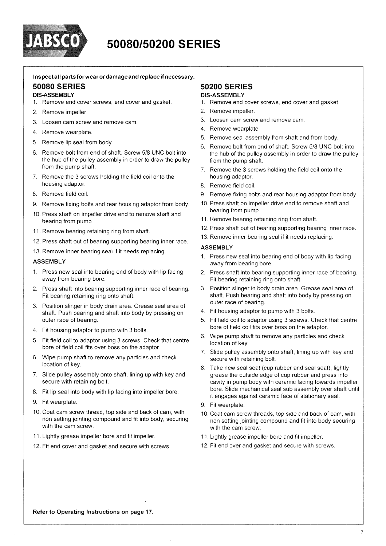

# 50080/50200 SERIES

#### Inspectall parts for wear or damage and replace if necessary.

#### **50080 SERIES**

#### **DIS-ASSEMBLY**

- 1. Remove end cover screws, end cover and gasket.
- 2. Remove impeller.
- 3. Loosen cam screw and remove cam.
- 4. Remove wearplate.
- 5. Remove lip seal from body.
- Remove bolt from end of shaft. Screw 5/8 UNC bolt into 6. the hub of the pulley assembly in order to draw the pulley from the pump shaft.
- 7. Remove the 3 screws holding the field coil onto the housing adaptor.
- 8. Remove field coil
- 9. Remove fixing bolts and rear housing adaptor from body.
- 10. Press shaft on impeller drive end to remove shaft and bearing from pump
- 11. Remove bearing retaining ring from shaft.
- 12. Press shaft out of bearing supporting bearing inner race.
- 13. Remove inner bearing seal if it needs replacing.

#### **ASSEMBLY**

- 1. Press new seal into bearing end of body with lip facing away from bearing bore.
- 2. Press shaft into bearing supporting inner race of bearing. Fit bearing retaining ring onto shaft.
- 3 Position slinger in body drain area. Grease seal area of shaft. Push bearing and shaft into body by pressing on outer race of bearing.
- 4. Fit housing adaptor to pump with 3 bolts.
- 5. Fit field coil to adaptor using 3 screws. Check that centre bore of field coil fits over boss on the adaptor.
- Wipe pump shaft to remove any particles and check 6. location of key.
- 7. Slide pulley assembly onto shaft, lining up with key and secure with retaining bolt.
- 8. Fit lip seal into body with lip facing into impeller bore.
- 9. Fit wearplate.
- 10. Coat cam screw thread, top side and back of cam, with non setting jointing compound and fit into body, securing with the cam screw
- 11. Lightly grease impeller bore and fit impeller.
- 12. Fit end cover and gasket and secure with screws.

#### **50200 SERIES DIS-ASSEMBLY**

- 1. Remove end cover screws, end cover and gasket.
- 2. Remove impeller.
- 3. Loosen cam screw and remove cam.
- 4. Remove wearplate.
- 5. Remove seal assembly from shaft and from body.
- 6. Remove bolt from end of shaft. Screw 5/8 UNC bolt into the hub of the pulley assembly in order to draw the pulley from the pump shaft.
- 7. Remove the 3 screws holding the field coil onto the housing adaptor.
- 8. Remove field coil.
- 9. Remove fixing bolts and rear housing adaptor from body.
- 10. Press shaft on impeller drive end to remove shaft and bearing from pump.
- 11. Remove bearing retaining ring from shaft.
- 12. Press shaft out of bearing supporting bearing inner race.
- 13. Remove inner bearing seal if it needs replacing.

#### **ASSEMBLY**

- 1. Press new seal into bearing end of body with lip facing away from bearing bore.
- 2. Press shaft into bearing supporting inner race of bearing. Fit bearing retaining ring onto shaft.
- 3. Position slinger in body drain area. Grease seal area of shaft. Push bearing and shaft into body by pressing on outer race of bearing.
- 4. Fit housing adaptor to pump with 3 bolts.
- 5. Fit field coil to adaptor using 3 screws. Check that centre bore of field coil fits over boss on the adaptor.
- 6. Wipe pump shaft to remove any particles and check location of key.
- 7. Slide pulley assembly onto shaft, lining up with key and secure with retaining bolt.
- 8. Take new seal seat (cup rubber and seal seat), lightly grease the outside edge of cup rubber and press into cavity in pump body with ceramic facing towards impeller bore. Slide mechanical seal sub assembly over shaft until it engages against ceramic face of stationary seal.
- 9. Fit wearplate.
- 10. Coat cam screw threads, top side and back of cam, with non setting jointing compound and fit into body securing with the cam screw.
- 11. Lightly grease impeller bore and fit impeller.
- 12. Fit end over and gasket and secure with screws.

Refer to Operating Instructions on page 17.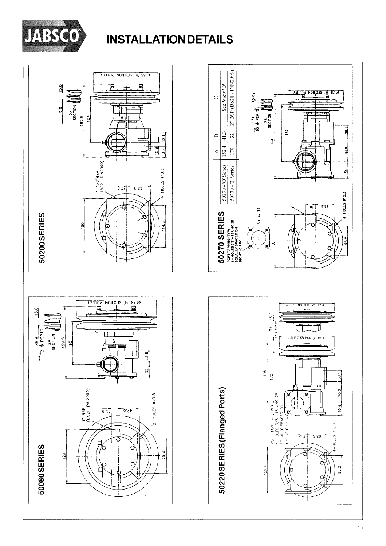

# **INSTALLATION DETAILS**



 $\frac{a}{b}$  acquon  $\frac{a}{b}$ 

玥

æ

 $rac{2A}{5ECDOM}$ 

264

 $15.8$ 

 $\frac{8}{2}$  $172$ 

 $152.4$ 

18  $\frac{1}{2}$ 

 $\begin{array}{|l|l|}\n\hline\n\text{PORT APPING (TP)} \\
\hline\n4-HOLES 3/8" - 16 UNC 2B\n\end{array}$ <br>
EQUALLY SPACED ON

Ł

182

 $\overline{9}$  $\overline{1}$ 

ä

ã

 $\tilde{\mathbf{z}}$ 

HOLES #10.3

تشقق

é

VZ, 871 SECTION PULLEY

 $\overline{\mathbb{d}}$ 

ЗЕСТОМ РУЦІ

鬥

ิช

 $8.15$ 

 $\overline{S}$ .  $\overline{S}$ 

 $\overline{a}$ ,  $\overline{a}$ 

 $\frac{1}{5}$ 

70.6

40.4

**I-HOLES #10.3** 

தி